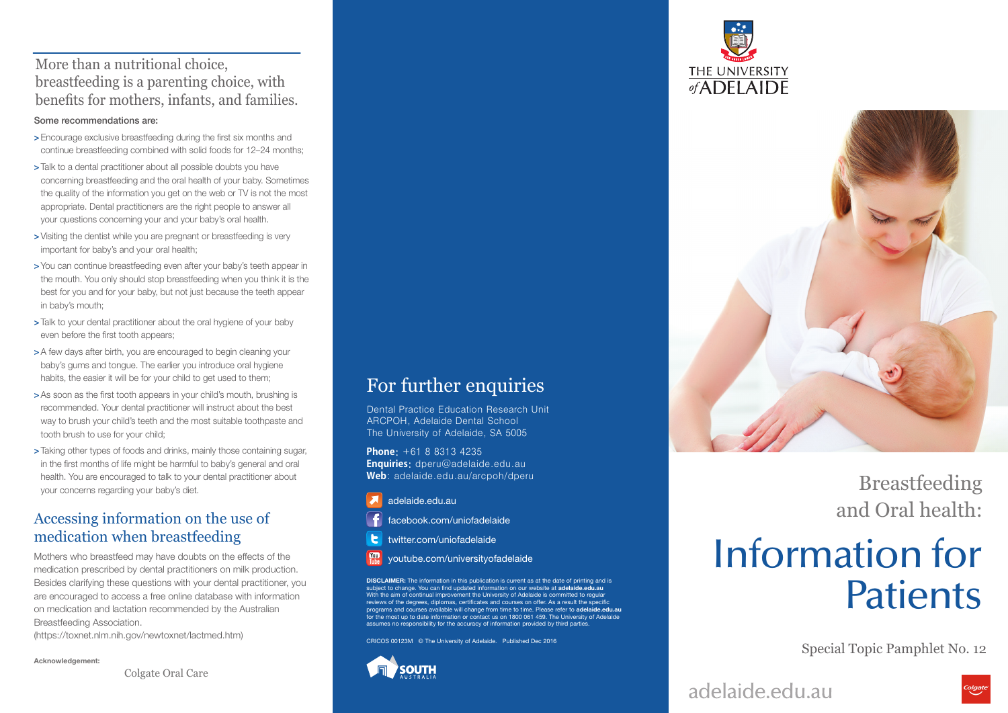## More than a nutritional choice, breastfeeding is a parenting choice, with benefits for mothers, infants, and families.

#### Some recommendations are:

- > Encourage exclusive breastfeeding during the first six months and continue breastfeeding combined with solid foods for 12–24 months;
- > Talk to a dental practitioner about all possible doubts you have concerning breastfeeding and the oral health of your baby. Sometimes the quality of the information you get on the web or TV is not the most appropriate. Dental practitioners are the right people to answer all your questions concerning your and your baby's oral health.
- > Visiting the dentist while you are pregnant or breastfeeding is very important for baby's and your oral health;
- > You can continue breastfeeding even after your baby's teeth appear in the mouth. You only should stop breastfeeding when you think it is the best for you and for your baby, but not just because the teeth appear in baby's mouth;
- > Talk to your dental practitioner about the oral hygiene of your baby even before the first tooth appears;
- > A few days after birth, you are encouraged to begin cleaning your baby's gums and tongue. The earlier you introduce oral hygiene habits, the easier it will be for your child to get used to them;
- > As soon as the first tooth appears in your child's mouth, brushing is recommended. Your dental practitioner will instruct about the best way to brush your child's teeth and the most suitable toothpaste and tooth brush to use for your child;
- > Taking other types of foods and drinks, mainly those containing sugar, in the first months of life might be harmful to baby's general and oral health. You are encouraged to talk to your dental practitioner about your concerns regarding your baby's diet.

## Accessing information on the use of medication when breastfeeding

Mothers who breastfeed may have doubts on the effects of the medication prescribed by dental practitioners on milk production. Besides clarifying these questions with your dental practitioner, you are encouraged to access a free online database with information on medication and lactation recommended by the Australian Breastfeeding Association.

(https://toxnet.nlm.nih.gov/newtoxnet/lactmed.htm)

Acknowledgement:

Colgate Oral Care

# For further enquiries

Dental Practice Education Research Unit ARCPOH, Adelaide Dental School The University of Adelaide, SA 5005

**Phone**: +61 8 8313 4235 **Enquiries**: dperu@adelaide.edu.au **Web**: adelaide.edu.au/arcpoh/dperu

- adelaide.edu.au facebook.com/uniofadelaide twitter.com/uniofadelaide
	- youtube.com/universityofadelaide

DISCLAIMER: The information in this publication is current as at the date of printing and is<br>subject to change. You can find updated information on our website at adelaide.edu.au With the aim of continual improvement the University of Adelaide is committed to regular eviews of the degrees, diplomas, certificates and courses on offer. As a result the specifi rograms and courses available will change from time to time. Please refer to adelaide.edu.au most up to date information or contact us on 1800 061 459. The University of Adelaide es no responsibility for the accuracy of information provided by third parties

CRICOS 00123M © The University of Adelaide. Published Dec 2016







## Breastfeeding and Oral health:

# Information for **Patients**

Special Topic Pamphlet No. 12